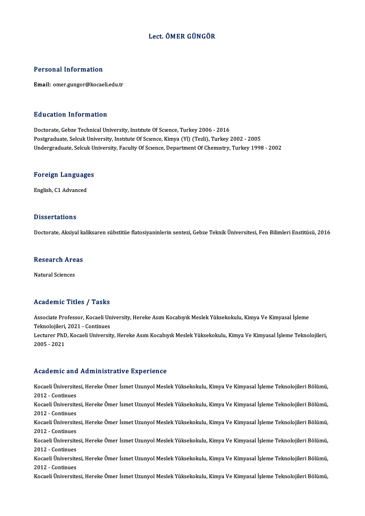#### Lect. ÖMER GÜNGÖR

#### Personal Information

Email: omer.gungor@kocaeli.edu.tr

#### Education Information

Doctorate, Gebze Technical University, Institute Of Science, Turkey 2006 - 2016 Postgraduate, Selcuk University, Institute Of Science, Kimya (Yl) (Tezli), Turkey 2002 - 2005 Undergraduate, Selcuk University, Faculty Of Science, Department Of Chemistry, Turkey 1998 - 2002

## <sub>ondergraduate, selcuk ol<br>Foreign Languages</sub> <mark>Foreign Languag</mark>e<br>English, C1 Advanced

English, C1 Advanced<br>Dissertations

Doctorate, Aksiyal kaliksaren sübstitüe flatosiyaninlerin sentezi, Gebze Teknik Üniversitesi, Fen Bilimleri Enstitüsü, 2016

## Doctorate, Aksiyai ka<br>Research Areas <mark>Research Are</mark><br>Natural Sciences

# Natural Sciences<br>Academic Titles / Tasks

A**cademic Titles / Tasks**<br>Associate Professor, Kocaeli University, Hereke Asım Kocabıyık Meslek Yüksekokulu, Kimya Ve Kimyasal İşleme<br>Telmelejileri, 2021, Centinues Associate Professor, Kocaeli Un<br>Teknolojileri, 2021 - Continues<br>Lectures PhD, Kocaeli Universit Associate Professor, Kocaeli University, Hereke Asım Kocabıyık Meslek Yüksekokulu, Kimya Ve Kimyasal İşleme<br>Teknolojileri, 2021 - Continues<br>Lecturer PhD, Kocaeli University, Hereke Asım Kocabıyık Meslek Yüksekokulu, Kimya Teknolojileri,<br>Lecturer PhD<br>2005 - 2021

# Academic and Administrative Experience

Academic and Administrative Experience<br>Kocaeli Üniversitesi, Hereke Ömer İsmet Uzunyol Meslek Yüksekokulu, Kimya Ve Kimyasal İşleme Teknolojileri Bölümü, recauenre ana<br>Kocaeli Üniversite<br>2012 - Continues<br>Kocaeli Üniversite Kocaeli Üniversitesi, Hereke Ömer İsmet Uzunyol Meslek Yüksekokulu, Kimya Ve Kimyasal İşleme Teknolojileri Bölümü,<br>2012 - Continues<br>Kocaeli Üniversitesi, Hereke Ömer İsmet Uzunyol Meslek Yüksekokulu, Kimya Ve Kimyasal İşle 2012 - Continues<br>Kocaeli Üniversite<br>2012 - Continues<br>Kocaeli Üniversite Kocaeli Üniversitesi, Hereke Ömer İsmet Uzunyol Meslek Yüksekokulu, Kimya Ve Kimyasal İşleme Teknolojileri Bölümü,<br>2012 - Continues<br>Kocaeli Üniversitesi, Hereke Ömer İsmet Uzunyol Meslek Yüksekokulu, Kimya Ve Kimyasal İşle 2012 - Continues<br>Kocaeli Üniversitesi, Hereke Ömer İsmet Uzunyol Meslek Yüksekokulu, Kimya Ve Kimyasal İşleme Teknolojileri Bölümü,<br>2012 - Continues Kocaeli Üniversitesi, Hereke Ömer İsmet Uzunyol Meslek Yüksekokulu, Kimya Ve Kimyasal İşleme Teknolojileri Bölümü,<br>2012 - Continues<br>Kocaeli Üniversitesi, Hereke Ömer İsmet Uzunyol Meslek Yüksekokulu, Kimya Ve Kimyasal İşle 2012 - Continues<br>Kocaeli Üniversite<br>2012 - Continues<br>Kosaeli Üniversite Kocaeli Üniversitesi, Hereke Ömer İsmet Uzunyol Meslek Yüksekokulu, Kimya Ve Kimyasal İşleme Teknolojileri Bölümü,<br>2012 - Continues<br>Kocaeli Üniversitesi, Hereke Ömer İsmet Uzunyol Meslek Yüksekokulu, Kimya Ve Kimyasal İşle 2012 - Continues<br>Kocaeli Üniversite<br>2012 - Continues<br>Kosaeli Üniversite Kocaeli Üniversitesi, Hereke Ömer İsmet Uzunyol Meslek Yüksekokulu, Kimya Ve Kimyasal İşleme Teknolojileri Bölümü,<br>2012 - Continues<br>Kocaeli Üniversitesi, Hereke Ömer İsmet Uzunyol Meslek Yüksekokulu, Kimya Ve Kimyasal İşle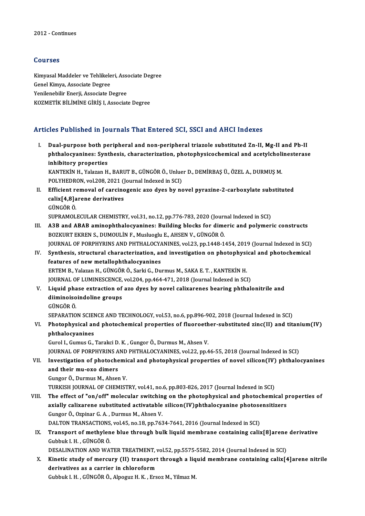### Courses

Courses<br>Kimyasal Maddeler ve Tehlikeleri, Associate Degree<br>Conel Kimya, Associate Degree Soursoo<br>Kimyasal Maddeler ve Tehlikele<br>Genel Kimya, Associate Degree<br>Yonilanebilir Enerii, Associate D Kimyasal Maddeler ve Tehlikeleri, Associate<br>Genel Kimya, Associate Degree<br>Yenilenebilir Enerji, Associate Degree<br>KOZMETİK PİLİMİNE CİPİS LASSOCIAT Genel Kimya, Associate Degree<br>Yenilenebilir Enerji, Associate Degree<br>KOZMETİK BİLİMİNE GİRİŞ I, Associate Degree

### Articles Published in Journals That Entered SCI, SSCI and AHCI Indexes

I. Dual-purpose both peripheral and non-peripheral triazole substituted Zn-II, Mg-II and Pb-II phthalocyanines: Synthesis That Entered Ber, BBertand Three Indence<br>Dual-purpose both peripheral and non-peripheral triazole substituted Zn-II, Mg-II and Pb-II<br>phthalocyanines: Synthesis, characterization, photophysicochem Dual-purpose both pe<br>phthalocyanines: Synt<br>inhibitory properties<br>KANTEKIN H. Velazon H

inhibitory properties<br>KANTEKİN H., Yalazan H., BARUT B., GÜNGÖR Ö., Unluer D., DEMİRBAŞ Ü., ÖZEL A., DURMUŞ M. inhibitory properties<br>KANTEKİN H., Yalazan H., BARUT B., GÜNGÖR Ö., Unlue<br>POLYHEDRON, vol.208, 2021 (Journal Indexed in SCI)<br>Efficient remeval of sansinegania are dves by ne KANTEKİN H., Yalazan H., BARUT B., GÜNGÖR Ö., Unluer D., DEMİRBAŞ Ü., ÖZEL A., DURMUŞ M.<br>POLYHEDRON, vol.208, 2021 (Journal Indexed in SCI)<br>II. Efficient removal of carcinogenic azo dyes by novel pyrazine-2-carboxylate sub

POLYHEDRON, vol.208, 2021 ()<br>Efficient removal of carcino<br>calix[4,8]arene derivatives<br>CÜNCÖP Ö Efficient re<br>calix[4,8]a<br>GÜNGÖR Ö.<br>SUPPAMOL calix[4,8]arene derivatives<br>GÜNGÖR Ö.<br>SUPRAMOLECULAR CHEMISTRY, vol.31, no.12, pp.776-783, 2020 (Journal Indexed in SCI) GÜNGÖR Ö.<br>III. A3B and ABAB aminophthalocyanines: Building blocks for dimeric and polymeric constructs<br>BOZKUPT EKREN S. DUMOULIN E. Muslusslu E. AUSEN V. GÜNGÖR Ö.

- SUPRAMOLECULAR CHEMISTRY, vol.31, no.12, pp.776-783, 2020 (Journ<br>**A3B and ABAB aminophthalocyanines: Building blocks for dime**<br>BOZKURT EKREN S., DUMOULİN F., Musluoglu E., AHSEN V., GÜNGÖR Ö.<br>JOUPMAL OF POPPHYPINS AND PHTH A3B and ABAB aminophthalocyanines: Building blocks for dimeric and polymeric constructs<br>BOZKURT EKREN S., DUMOULİN F., Musluoglu E., AHSEN V., GÜNGÖR Ö.<br>JOURNAL OF PORPHYRINS AND PHTHALOCYANINES, vol.23, pp.1448-1454, 2019 BOZKURT EKREN S., DUMOULIN F., Musluoglu E., AHSEN V., GÜNGÖR Ö.<br>JOURNAL OF PORPHYRINS AND PHTHALOCYANINES, vol.23, pp.1448-1454, 2019 (Journal Indexed in SCI)<br>IV. Synthesis, structural characterization, and investigation
- **JOURNAL OF PORPHYRINS AND PHTHALOCYA**<br>Synthesis, structural characterization, are<br>features of new metallophthalocyanines<br>FRTEM B. Velagan H. CÜNCÖBÖ, Sarki G. Du IV. Synthesis, structural characterization, and investigation on photophysical and photochemical<br>features of new metallophthalocyanines<br>ERTEM B., Yalazan H., GÜNGÖR Ö., Sarki G., Durmus M., SAKA E. T., KANTEKİN H. features of new metallophthalocyanines<br>ERTEM B., Yalazan H., GÜNGÖR Ö., Sarki G., Durmus M., SAKA E. T. , KANTEKİN H.<br>JOURNAL OF LUMINESCENCE, vol.204, pp.464-471, 2018 (Journal Indexed in SCI)<br>Liquid phase extraction of a
- V. Liquid phase extraction of azo dyes by novel calixarenes bearing phthalonitrile and JOURNAL OF LUMINESCENCE,<br>Liquid phase extraction of<br>diiminoisoindoline groups<br>C<sup>ijncôp</sup> ô diiminoisoindoline groups<br>GÜNGÖRÖ.

SEPARATION SCIENCE AND TECHNOLOGY, vol.53, no.6, pp.896-902, 2018 (Journal Indexed in SCI)

GÜNGÖR Ö.<br>SEPARATION SCIENCE AND TECHNOLOGY, vol.53, no.6, pp.896-902, 2018 (Journal Indexed in SCI)<br>VI. Photophysical and photochemical properties of fluoroether-substituted zinc(II) and titanium(IV)<br>nhthalogyanines SEPARATION SCIEN<br>Photophysical an<br>phthalocyanines<br>Curol L. Cumus C. Photophysical and photochemical properties of fluoroeth<br>phthalocyanines<br>Gurol I., Gumus G., Tarakci D. K. , Gungor Ö., Durmus M., Ahsen V.<br>JOUPNAL OF POPPHYPINS AND PHTHALOCYANINES .vol 22, nn 4

phthalocyanines<br>Gurol I., Gumus G., Tarakci D. K. , Gungor Ö., Durmus M., Ahsen V.<br>JOURNAL OF PORPHYRINS AND PHTHALOCYANINES, vol.22, pp.46-55, 2018 (Journal Indexed in SCI)<br>Investigation of photoghemical and photoghygical Gurol I., Gumus G., Tarakci D. K. , Gungor Ö., Durmus M., Ahsen V.<br>JOURNAL OF PORPHYRINS AND PHTHALOCYANINES, vol.22, pp.46-55, 2018 (Journal Indexed in SCI)<br>VII. Investigation of photochemical and photophysical properties

**JOURNAL OF PORPHYRINS A**<br>Investigation of photoche<br>and their mu-oxo dimers<br>Cunger O. Durmus M. Absen **Investigation of photochemi<br>and their mu-oxo dimers<br>Gungor Ö., Durmus M., Ahsen V.<br>TURKISH JOURNAL OF CHEMIST** and their mu-oxo dimers<br>Gungor Ö., Durmus M., Ahsen V.<br>TURKISH JOURNAL OF CHEMISTRY, vol.41, no.6, pp.803-826, 2017 (Journal Indexed in SCI)

VIII. The effect of "on/off" molecular switching on the photophysical and photochemical properties of TURKISH JOURNAL OF CHEMISTRY, vol.41, no.6, pp.803-826, 2017 (Journal Indexed in SCI)<br>The effect of "on/off" molecular switching on the photophysical and photochemical p<br>axially calixarene substituted activatable silicon(I The effect of "on/off" molecular switchin<br>axially calixarene substituted activatable<br>Gungor Ö., Ozpinar G.A., Durmus M., Ahsen V.<br>DALTON TRANSACTIONS vol 45, po 19, pp.763 axially calixarene substituted activatable silicon(IV)phthalocyanine photose<br>Gungor Ö., Ozpinar G. A. , Durmus M., Ahsen V.<br>DALTON TRANSACTIONS, vol.45, no.18, pp.7634-7641, 2016 (Journal Indexed in SCI)<br>Transport of methy Gungor Ö., Ozpinar G. A. , Durmus M., Ahsen V.<br>DALTON TRANSACTIONS, vol.45, no.18, pp.7634-7641, 2016 (Journal Indexed in SCI)<br>IX. Transport of methylene blue through bulk liquid membrane containing calix[8]arene deriv

DALTON TRANSACTIONS<br>**Transport of methylen**<br>Gubbuk I. H. , GÜNGÖR Ö.<br>DESALINATION AND WA' Transport of methylene blue through bulk liquid membrane containing calix[8]arene<br>Gubbuk I. H. , GÜNGÖR Ö.<br>DESALINATION AND WATER TREATMENT, vol.52, pp.5575-5582, 2014 (Journal Indexed in SCI)<br>Kinetis study of mensury (II)

Gubbuk I. H. , GÜNGÖR Ö.<br>DESALINATION AND WATER TREATMENT, vol.52, pp.5575-5582, 2014 (Journal Indexed in SCI)<br>X. Kinetic study of mercury (II) transport through a liquid membrane containing calix[4]arene nitrile<br>doviv DESALINATION AND WATER TREATMENT,<br>Kinetic study of mercury (II) transport<br>derivatives as a carrier in chloroform<br>Cubbuk L.H., CÜNCÖP Ö. Alpowe H.K., Ers Kinetic study of mercury (II) transport through a liq<br>derivatives as a carrier in chloroform<br>Gubbuk I. H. , GÜNGÖR Ö., Alpoguz H. K. , Ersoz M., Yilmaz M.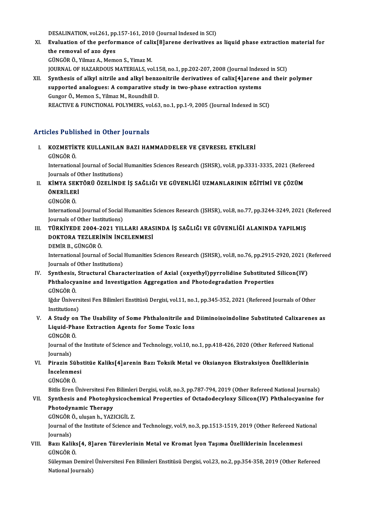DESALINATION, vol.261, pp.157-161, 2010 (Journal Indexed in SCI)<br>Evaluation of the newforwance of calix[8]anone denivatives a

- XI. Evaluation of the performance of calix[8]arene derivatives as liquid phase extractionmaterial for DESALINATION, vol.261, pp<br>**Evaluation of the perform**<br>the removal of azo dyes GÜNGÖRÖ.,YilmazA.,MemonS.,YimazM. the removal of azo dyes<br>GÜNGÖR Ö., Yilmaz A., Memon S., Yimaz M.<br>JOURNAL OF HAZARDOUS MATERIALS, vol.158, no.1, pp.202-207, 2008 (Journal Indexed in SCI)<br>Synthosis of alkyl nitrile and alkyl benzonitrile derivatives of sel
- XII. Synthesis of alkyl nitrile and alkyl benzonitrile derivatives of calix[4]arene and their polymer JOURNAL OF HAZARDOUS MATERIALS, vol.158, no.1, pp.202-207, 2008 (Journal Index<br>Synthesis of alkyl nitrile and alkyl benzonitrile derivatives of calix[4]arene a<br>supported analogues: A comparative study in two-phase extracti supported analogues: A comparative study in two-phase extraction systems<br>Gungor Ö., Memon S., Yilmaz M., Roundhill D. REACTIVE & FUNCTIONAL POLYMERS, vol.63, no.1, pp.1-9, 2005 (Journal Indexed in SCI)

### Articles Published in Other Journals

rticles Published in Other Journals<br>I. KOZMETİKTE KULLANILAN BAZI HAMMADDELER VE ÇEVRESEL ETKİLERİ<br>CÜNCÖP Ö KOZMETİK<br>KOZMETİK<br>UNGÖRÖ. KOZMETİKTE KULLANILAN BAZI HAMMADDELER VE ÇEVRESEL ETKİLERİ<br>GÜNGÖR Ö.<br>International Journal of Social Humanities Sciences Research (JSHSR), vol.8, pp.3331-3335, 2021 (Refereed<br>Journals of Other Institutione)

GÜNGÖR Ö.<br>International Journal of Social<br>Journals of Other Institutions)<br>KiMYA SEKTÖRÜ ÖZELİNDE International Journal of Social Humanities Sciences Research (JSHSR), vol.8, pp.3331-3335, 2021 (Refer<br>Journals of Other Institutions)<br>II. KİMYA SEKTÖRÜ ÖZELİNDE İŞ SAĞLIĞI VE GÜVENLİĞİ UZMANLARININ EĞİTİMİ VE ÇÖZÜM<br>ÖNEDLI

- Journals of O<br><mark>KİMYA SEK'</mark><br>ÖNERİLERİ KİMYA SEI<br>ÖNERİLER<br>GÜNGÖR Ö.
	-

ÖNERİLERİ<br>GÜNGÖR Ö.<br>International Journal of Social Humanities Sciences Research (JSHSR), vol.8, no.77, pp.3244-3249, 2021 (Refereed GÜNGÖR Ö.<br>International Journal of Social<br>Journals of Other Institutions)<br>TüpkivEDE 2004-2021-YU International Journal of Social Humanities Sciences Research (JSHSR), vol.8, no.77, pp.3244-3249, 2021 (<br>Journals of Other Institutions)<br>III. TÜRKİYEDE 2004-2021 YILLARI ARASINDA İŞ SAĞLIĞI VE GÜVENLİĞİ ALANINDA YAPILMIŞ<br>D

- Journals of Other Institutions)<br>TÜRKİYEDE 2004-2021 YILLARI ARAS<br>DOKTORA TEZLERİNİN İNCELENMESİ<br>DEMİR R. CÜNCÖR Ö TÜRKİYEDE 2004-2<br>DOKTORA TEZLERİ<br>DEMİR B., GÜNGÖR Ö.<br>International Journal (
	-

DOKTORA TEZLERİNİN İNCELENMESİ<br>DEMİR B., GÜNGÖR Ö.<br>International Journal of Social Humanities Sciences Research (JSHSR), vol.8, no.76, pp.2915-2920, 2021 (Refereed DEMİR B., GÜNGÖR Ö.<br>International Journal of Social<br>Journals of Other Institutions)<br>Synthosis, Structural Chara International Journal of Social Humanities Sciences Research (JSHSR), vol.8, no.76, pp.2915-2920, 2021 (<br>Journals of Other Institutions)<br>IV. Synthesis, Structural Characterization of Axial (oxyethyl)pyrrolidine Substituted

Journals of Other Institutions)<br>Synthesis, Structural Characterization of Axial (oxyethyl)pyrrolidine Substituted<br>Phthalocyanine and Investigation Aggregation and Photodegradation Properties<br>CÜNCÖPÖ Synthesis,<br>Phthalocya<br>GÜNGÖR Ö.<br><sup>Lğdır Üniver</sup> Phthalocyanine and Investigation Aggregation and Photodegradation Properties<br>GÜNGÖR Ö.<br>Iğdır Üniversitesi Fen Bilimleri Enstitüsü Dergisi, vol.11, no.1, pp.345-352, 2021 (Refereed Journals of Other<br>Institutione)

GÜNGÖR Ö.<br>Iğdır Ünivers<br>Institutions) Iğdır Üniversitesi Fen Bilimleri Enstitüsü Dergisi, vol.11, no.1, pp.345-352, 2021 (Refereed Journals of Other<br>Institutions)<br>V. A Study on The Usability of Some Phthalonitrile and Diiminoisoindoline Substituted Calixarenes

Institutions)<br>A Study on The Usability of Some Phthalonitrile and<br>Liquid-Phase Extraction Agents for Some Toxic Ions<br>SÜNGÖRÖ A Study or<br>Liquid-Pha<br>GÜNGÖR Ö.<br>Journal of t Liquid-Phase Extraction Agents for Some Toxic Ions<br>GÜNGÖR Ö.<br>Journal of the Institute of Science and Technology, vol.10, no.1, pp.418-426, 2020 (Other Refereed National<br>Journals)

GÜNGÖR<br>Journal of<br>Journals)<br>Piragin S Journal of the Institute of Science and Technology, vol.10, no.1, pp.418-426, 2020 (Other Refereed Nationa<br>Journals)<br>VI. Pirazin Sübstitüe Kaliks[4]arenin Bazı Toksik Metal ve Oksianyon Ekstraksiyon Özelliklerinin<br>Inselepm

### Journals)<br><mark>Pirazin Sübs</mark><br>İncelenmesi<br>CüNCÖP Ö Pirazin Sül<br>İncelenme<br>GÜNGÖR Ö.<br><sup>Bitlis Eron</sub> í</sup> **İncelenmesi**<br>GÜNGÖR Ö.<br>Bitlis Eren Üniversitesi Fen Bilimleri Dergisi, vol.8, no.3, pp.787-794, 2019 (Other Refereed National Journals)

GÜNGÖR Ö.<br>Bitlis Eren Üniversitesi Fen Bilimleri Dergisi, vol.8, no.3, pp.787-794, 2019 (Other Refereed National Journals)<br>VII. Synthesis and Photophysicochemical Properties of Octadodecyloxy Silicon(IV) Phthalocyanine Bitlis Eren Üniversitesi Fen<br>Synthesis and Photophy<br>Photodynamic Therapy<br>CÜNCÖP Ö, ulusan b, YAZİ Synthesis and Photophysicoche<br>Photodynamic Therapy<br>GÜNGÖR Ö., uluşan h., YAZICIGİL Z.<br>Journal of the Institute of Science at

Photodynamic Therapy<br>GÜNGÖR Ö., uluşan h., YAZICIGİL Z.<br>Journal of the Institute of Science and Technology, vol.9, no.3, pp.1513-1519, 2019 (Other Refereed National<br>Journale) GÜNGÖR<br>Journal of<br>Journals)<br>Port Koli Journal of the Institute of Science and Technology, vol.9, no.3, pp.1513-1519, 2019 (Other Refereed Nation Journals)<br>VIII. Bazı Kaliks[4, 8]aren Türevlerinin Metal ve Kromat İyon Taşıma Özelliklerinin İncelenmesi<br>CÜNCÖP Ö

Journals)<br>VIII. Bazı Kaliks[4, 8]aren Türevlerinin Metal ve Kromat İyon Taşıma Özelliklerinin İncelenmesi<br>GÜNGÖR Ö. Bazı Kaliks[4, 8]aren Türevlerinin Metal ve Kromat İyon Taşıma Özelliklerinin İncelenmesi<br>GÜNGÖR Ö.<br>Süleyman Demirel Üniversitesi Fen Bilimleri Enstitüsü Dergisi, vol.23, no.2, pp.354-358, 2019 (Other Refereed<br>National Jou

GÜNGÖR Ö.<br>Süleyman Demirel<br>National Journals)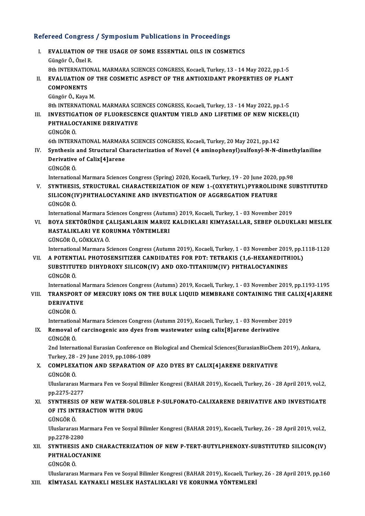# Refereed Congress / Symposium Publications in Proceedings<br>Refereed Congress / Symposium Publications in Proceedings

- efereed Congress / Symposium Publications in Proceedings<br>I. EVALUATION OF THE USAGE OF SOME ESSENTIAL OILS IN COSMETICS I. EVALUATION OF THE USAGE OF SOME ESSENTIAL OILS IN COSMETICS<br>Güngör Ö., Özel R. EVALUATION OF THE USAGE OF SOME ESSENTIAL OILS IN COSMETICS<br>Güngör Ö., Özel R.<br>8th INTERNATIONAL MARMARA SCIENCES CONGRESS, Kocaeli, Turkey, 13 - 14 May 2022, pp.1-5<br>EVALUATION OF THE COSMETIC ASPECT OF THE ANTIOVIDANT PRO Güngör Ö., Özel R.<br>8th INTERNATIONAL MARMARA SCIENCES CONGRESS, Kocaeli, Turkey, 13 - 14 May 2022, pp.1-5<br>II. EVALUATION OF THE COSMETIC ASPECT OF THE ANTIOXIDANT PROPERTIES OF PLANT<br>COMPONENTS 8th INTERNATIC<br>EVALUATION<br>COMPONENTS II. EVALUATION OF THE COSMETIC ASPECT OF THE ANTIOXIDANT PROPERTIES OF PLANT<br>COMPONENTS<br>Güngör Ö., Kaya M. COMPONENTS<br>Güngör Ö., Kaya M.<br>8th INTERNATIONAL MARMARA SCIENCES CONGRESS, Kocaeli, Turkey, 13 - 14 May 2022, pp.1-5<br>INVESTIC ATION OF ELUORESCENCE QUANTIM VIELD AND LIEETIME OF NEW NICKEL Güngör Ö., Kaya M.<br>8th INTERNATIONAL MARMARA SCIENCES CONGRESS, Kocaeli, Turkey, 13 - 14 May 2022, pp.1-5<br>III. INVESTIGATION OF FLUORESCENCE QUANTUM YIELD AND LIFETIME OF NEW NICKEL(II) 8th INTERNATIONAL MARMARA SCII<br>INVESTIGATION OF FLUORESCEN<br>PHTHALOCYANINE DERIVATIVE<br>CÜNCÖR Ö <mark>INVESTIGA</mark><br>PHTHALOO<br>GÜNGÖR Ö. PHTHALOCYANINE DERIVATIVE<br>GÜNGÖR Ö.<br>6th INTERNATIONAL MARMARA SCIENCES CONGRESS, Kocaeli, Turkey, 20 May 2021, pp.142 GÜNGÖR Ö.<br>6th INTERNATIONAL MARMARA SCIENCES CONGRESS, Kocaeli, Turkey, 20 May 2021, pp.142<br>IV. Synthesis and Structural Characterization of Novel (4 aminophenyl)sulfonyl-N-N-dimethylaniline<br>Derivative of Calix[4]arene 6th INTERNATIONAL MARMAR<br>Synthesis and Structural Ch<br>Derivative of Calix[4]arene<br>CÜNCÖB Ö Synthesis<br>Derivative<br>GÜNGÖR Ö.<br>Internation Derivative of Calix[4]arene<br>GÜNGÖR Ö.<br>International Marmara Sciences Congress (Spring) 2020, Kocaeli, Turkey, 19 - 20 June 2020, pp.98<br>SYNTUESIS, STRUCTURAL CHARACTERIZATION OF NEW 1. COYVETUVI ) RYRROLIDINE SI GÜNGÖR Ö.<br>International Marmara Sciences Congress (Spring) 2020, Kocaeli, Turkey, 19 - 20 June 2020, pp.98<br>V. SYNTHESIS, STRUCTURAL CHARACTERIZATION OF NEW 1-(OXYETHYL)PYRROLIDINE SUBSTITUTED International Marmara Sciences Congress (Spring) 2020, Kocaeli, Turkey, 19 - 20 June 2020,<br>SYNTHESIS, STRUCTURAL CHARACTERIZATION OF NEW 1-(OXYETHYL)PYRROLIDI<br>SILICON(IV)PHTHALOCYANINE AND INVESTIGATION OF AGGREGATION FEAT SYNTHESI:<br>SILICON(I'<br>GÜNGÖR Ö.<br>Internation: SILICON(IV)PHTHALOCYANINE AND INVESTIGATION OF AGGREGATION FEATURE<br>GÜNGÖR Ö.<br>International Marmara Sciences Congress (Autumn) 2019, Kocaeli, Turkey, 1 - 03 November 2019<br>POVA SEKTÖRÜNDE CALISANI ARIN MARIIZ KALDIKLARI KIMV GÜNGÖR Ö.<br>International Marmara Sciences Congress (Autumn) 2019, Kocaeli, Turkey, 1 - 03 November 2019<br>VI. BOYA SEKTÖRÜNDE ÇALIŞANLARIN MARUZ KALDIKLARI KIMYASALLAR, SEBEP OLDUKLARI MESLEK<br>HASTALIKLARI VE KORUNMA YÖNTE International Marmara Sciences Congress (Autun<br>BOYA SEKTÖRÜNDE ÇALIŞANLARIN MARUZ<br>HASTALIKLARI VE KORUNMA YÖNTEMLERI<br>CÜNCÖP Ö, CÖKKAYA Ö HASTALIKLARI VE KORUNMA YÖNTEMLERI<br>GÜNGÖR Ö., GÖKKAYA Ö. International Marmara Sciences Congress (Autumn 2019), Kocaeli, Turkey, 1 - 03 November 2019, pp.1118-1120 GÜNGÖR Ö., GÖKKAYA Ö.<br>International Marmara Sciences Congress (Autumn 2019), Kocaeli, Turkey, 1 - 03 November 2019, pp.1<br>VII. – A POTENTIAL PHOTOSENSITIZER CANDIDATES FOR PDT: TETRAKIS (1,6-HEXANEDITHIOL) International Marmara Sciences Congress (Autumn 2019), Kocaeli, Turkey, 1 - 03 November 201<br>A POTENTIAL PHOTOSENSITIZER CANDIDATES FOR PDT: TETRAKIS (1,6-HEXANEDITF<br>SUBSTITUTED DIHYDROXY SILICON(IV) AND OXO-TITANIUM(IV) PH A POTENT<br>SUBSTITUT<br>GÜNGÖR Ö.<br>Internation: SUBSTITUTED DIHYDROXY SILICON(IV) AND OXO-TITANIUM(IV) PHTHALOCYANINES<br>GÜNGÖR Ö.<br>International Marmara Sciences Congress (Autumn) 2019, Kocaeli, Turkey, 1 - 03 November 2019, pp.1193-1195<br>TRANSPORT OF MERCURY JONS ON THE R GÜNGÖR Ö.<br>International Marmara Sciences Congress (Autumn) 2019, Kocaeli, Turkey, 1 - 03 November 2019, pp.1193-1195<br>VIII. TRANSPORT OF MERCURY IONS ON THE BULK LIQUID MEMBRANE CONTAINING THE CALIX[4]ARENE<br>DERIVATIVE International M<br>TRANSPORT<br>DERIVATIVE<br>CÜNCÖP Ö VIII. TRANSPORT OF MERCURY IONS ON THE BULK LIQUID MEMBRANE CONTAINING THE CALIX[4]ARENE<br>DERIVATIVE<br>GÜNGÖR Ö. DERIVATIVE<br>GÜNGÖR Ö.<br>International Marmara Sciences Congress (Autumn 2019), Kocaeli, Turkey, 1 - 03 November 2019<br>Romoval of carsinosanis ago dyos from wastawater using saliv[8]arone dorivative GÜNGÖR Ö.<br>International Marmara Sciences Congress (Autumn 2019), Kocaeli, Turkey, 1 - 03 November 2<br>IX. Removal of carcinogenic azo dyes from wastewater using calix[8]arene derivative<br>CÜNGÖR Ö Internation<br>Re<mark>moval o</mark><br>GÜNGÖR Ö.<br><sup>2nd Interna</sup> Removal of carcinogenic azo dyes from wastewater using calix[8]arene derivative<br>GÜNGÖR Ö.<br>2nd International Eurasian Conference on Biological and Chemical Sciences(EurasianBioChem 2019), Ankara,<br>Turkay 28 - 29 June 2019, n GÜNGÖR Ö.<br>2nd International Eurasian Conference on<br>Turkey, 28 - 29 June 2019, pp.1086-1089<br>COMBLEYATION AND SERABATION OL 2nd International Eurasian Conference on Biological and Chemical Sciences(EurasianBioChen<br>Turkey, 28 - 29 June 2019, pp.1086-1089<br>X. COMPLEXATION AND SEPARATION OF AZO DYES BY CALIX[4]ARENE DERIVATIVE<br>CUNCOR O Turkey, 28<br>COMPLEXA<br>GÜNGÖR Ö. COMPLEXATION AND SEPARATION OF AZO DYES BY CALIX[4]ARENE DERIVATIVE<br>GÜNGÖR Ö.<br>Uluslararası Marmara Fen ve Sosyal Bilimler Kongresi (BAHAR 2019), Kocaeli, Turkey, 26 - 28 April 2019, vol.2,<br>nn <sup>227E 2277</sup> GÜNGÖR Ö.<br>Uluslararası Ma<br>pp.2275-2277<br>syntursis O Uluslararası Marmara Fen ve Sosyal Bilimler Kongresi (BAHAR 2019), Kocaeli, Turkey, 26 - 28 April 2019, vol.2,<br>pp.2275-2277<br>XI. SYNTHESIS OF NEW WATER-SOLUBLE P-SULFONATO-CALIXARENE DERIVATIVE AND INVESTIGATE<br>OF ITS INTERA pp.2275-2277<br>SYNTHESIS OF NEW WATER-SOLU!<br>OF ITS INTERACTION WITH DRUG<br>SÜNGÖRÖ SYNTHESI<mark>:</mark><br>OF ITS INT<br>GÜNGÖR Ö.<br><sup>Hluclararas</sup> OF ITS INTERACTION WITH DRUG<br>GÜNGÖR Ö.<br>Uluslararası Marmara Fen ve Sosyal Bilimler Kongresi (BAHAR 2019), Kocaeli, Turkey, 26 - 28 April 2019, vol.2, GÜNGÖR Ö.<br>Uluslararası Ma<br>pp.2278-2280<br>syntursis A Uluslararası Marmara Fen ve Sosyal Bilimler Kongresi (BAHAR 2019), Kocaeli, Turkey, 26 - 28 April 2019, vol.2,<br>pp.2278-2280<br>XII. SYNTHESIS AND CHARACTERIZATION OF NEW P-TERT-BUTYLPHENOXY-SUBSTITUTED SILICON(IV) pp.2278-2280<br>SYNTHESIS AND CH<br>PHTHALOCYANINE<br>CÜNCÖP Ö SYNTHESI<mark>:</mark><br>PHTHALO(<br>GÜNGÖR Ö. PHTHALOCYANINE<br>GÜNGÖR Ö.<br>Uluslararası Marmara Fen ve Sosyal Bilimler Kongresi (BAHAR 2019), Kocaeli, Turkey, 26 - 28 April 2019, pp.160
- XIII. KİMYASAL KAYNAKLI MESLEK HASTALIKLARI VE KORUNMA YÖNTEMLERİ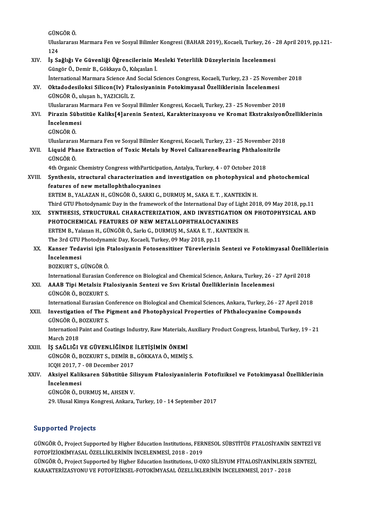GÜNGÖR Ö.<br><sup>H</sup>uslareres

Uluslararası Marmara Fen ve Sosyal Bilimler Kongresi (BAHAR 2019), Kocaeli, Turkey, 26 - 28 April 2019, pp.121-<br>124 GÜN<br>Ulusl<br>124<br><sup>1</sup>9 Sa Uluslararası Marmara Fen ve Sosyal Bilimler Kongresi (BAHAR 2019), Kocaeli, Turkey, 26 -<br>124<br>XIV. İş Sağlığı Ve Güvenliği Öğrencilerinin Mesleki Yeterlilik Düzeylerinin İncelenmesi

### 124<br>İş Sağlığı Ve Güvenliği Öğrencilerinin M<br>Güngör Ö., Demir B., Gökkaya Ö., Kılıçaslan İ.<br>İnternational Marmara Ssiense And Sosial Se Güngör Ö., Demir B., Gökkaya Ö., Kılıçaslan İ.<br>İnternational Marmara Science And Social Sciences Congress, Kocaeli, Turkey, 23 - 25 November 2018 Güngör Ö., Demir B., Gökkaya Ö., Kılıçaslan İ.<br>İnternational Marmara Science And Social Sciences Congress, Kocaeli, Turkey, 23 - 25 Noveml<br>XV. Oktadodesiloksi Silicon(Iv) Ftalosiyaninin Fotokimyasal Özelliklerinin İnce

## İnternational Marmara Science And<br>Oktadodesiloksi Silicon(Iv) Ftal<br>GÜNGÖR Ö., uluşan h., YAZICIGİL Z.<br>Uluşlararası Marmara Fen ve Sesva Oktadodesiloksi Silicon(Iv) Ftalosiyaninin Fotokimyasal Özelliklerinin İncelenmesi<br>GÜNGÖR Ö., uluşan h., YAZICIGİL Z.<br>Uluslararası Marmara Fen ve Sosyal Bilimler Kongresi, Kocaeli, Turkey, 23 - 25 November 2018<br>Pinarin Süh

### GÜNGÖR Ö., uluşan h., YAZICIGİL Z.<br>Uluslararası Marmara Fen ve Sosyal Bilimler Kongresi, Kocaeli, Turkey, 23 - 25 November 2018<br>XVI. Pirazin Sübstitüe Kaliks[4]arenin Sentezi, Karakterizasyonu ve Kromat EkstraksiyonÖze Uluslararası M<br><mark>Pirazin Sübs</mark><br>İncelenmesi<br>CüNCÖP Ö Pirazin Sül<br>İncelenme<br>GÜNGÖR Ö.<br>Uluslararas **İncelenmesi**<br>GÜNGÖR Ö.<br>Uluslararası Marmara Fen ve Sosyal Bilimler Kongresi, Kocaeli, Turkey, 23 - 25 November 2018

GÜNGÖR Ö.<br>Uluslararası Marmara Fen ve Sosyal Bilimler Kongresi, Kocaeli, Turkey, 23 - 25 November 201<br>XVII. Liquid Phase Extraction of Toxic Metals by Novel CalixareneBearing Phthalonitrile<br>CÜNCÖR Ö Uluslararas<br><mark>Liquid Pha</mark><br>GÜNGÖR Ö.<br><sup>4th Organis</sub></sup> Liquid Phase Extraction of Toxic Metals by Novel CalixareneBearing Phthaloni<br>GÜNGÖR Ö.<br>4th Organic Chemistry Congress withParticipation, Antalya, Turkey, 4 - 07 October 2018<br>Synthesis, structural sharesterization and inves

### GÜNGÖR Ö.<br>4th Organic Chemistry Congress withParticipation, Antalya, Turkey, 4 - 07 October 2018<br>XVIII. Synthesis, structural characterization and investigation on photophysical and photochemical<br>features of new metallenht 4th Organic Chemistry Congress withParticipa<br>Synthesis, structural characterization an<br>features of new metallophthalocyanines<br>FRTEM B - VALAZAN H - CÜNCÖR Ö- SARKLC Synthesis, structural characterization and investigation on photophysical a<br>features of new metallophthalocyanines<br>ERTEM B., YALAZAN H., GÜNGÖR Ö., SARKI G., DURMUŞ M., SAKA E. T. , KANTEKİN H.<br>Third CTU Photodynamis Day i features of new metallophthalocyanines<br>ERTEM B., YALAZAN H., GÜNGÖR Ö., SARKI G., DURMUŞ M., SAKA E. T. , KANTEKİN H.<br>Third GTU Photodynamic Day in the framework of the International Day of Light 2018, 09 May 2018, pp.11<br>S

- ERTEM B., YALAZAN H., GÜNGÖR Ö., SARKI G., DURMUŞ M., SAKA E. T. , KANTEKİN H.<br>Third GTU Photodynamic Day in the framework of the International Day of Light 2018, 09 May 2018, pp.11<br>XIX. SYNTHESIS, STRUCTURAL CHARACTERIZAT Third GTU Photodynamic Day in the framework of the International Day of Li<br>SYNTHESIS, STRUCTURAL CHARACTERIZATION, AND INVESTIGATION<br>PHOTOCHEMICAL FEATURES OF NEW METALLOPHTHALOCYANINES<br>FRTEM R. Valazan H. CÜNCÖR Ö. Sarla SYNTHESIS, STRUCTURAL CHARACTERIZATION, AND INVESTIGATION OF<br>PHOTOCHEMICAL FEATURES OF NEW METALLOPHTHALOCYANINES<br>ERTEM B., Yalazan H., GÜNGÖR Ö., Sarkı G., DURMUŞ M., SAKA E. T. , KANTEKİN H.<br>The 2rd CTU Photodynamis Day, PHOTOCHEMICAL FEATURES OF NEW METALLOPHTHALOCYAI<br>ERTEM B., Yalazan H., GÜNGÖR Ö., Sarkı G., DURMUŞ M., SAKA E. T. , KA<br>The 3rd GTU Photodynamic Day, Kocaeli, Turkey, 09 May 2018, pp.11<br>Kanser Tedavisi isin Etalesiyanin Est
- ERTEM B., Yalazan H., GÜNGÖR Ö., Sarkı G., DURMUŞ M., SAKA E. T. , KANTEKİN H.<br>The 3rd GTU Photodynamic Day, Kocaeli, Turkey, 09 May 2018, pp.11<br>XX. Kanser Tedavisi için Ftalosiyanin Fotosensitizer Türevlerinin Sentezi The 3rd GTU Photodynamic Day, Kocaeli, Turkey, 09 May 2018, pp.11<br>Kanser Tedavisi için Ftalosiyanin Fotosensitizer Türevlerinin<br>İncelenmesi<br>BOZKURT S.. GÜNGÖR Ö. Kanser Tedavisi için F<br>İncelenmesi<br>BOZKURT S., GÜNGÖR Ö.<br>International Eurosian C

International Eurasian Conference on Biological and Chemical Science, Ankara, Turkey, 26 - 27 April 2018

### BOZKURT S., GÜNGÖR Ö.<br>International Eurasian Conference on Biological and Chemical Science, Ankara, Turkey, 26 -<br>XXI. AAAB Tipi Metalsiz Ftalosiyanin Sentezi ve Sıvı Kristal Özelliklerinin İncelenmesi<br>CÜNCÖR Ö. ROZKURT International Eurasian Contra<br>**AAAB Tipi Metalsiz Ft:**<br>GÜNGÖR Ö., BOZKURT S.<br>International Eurasian *C*o GÜNGÖR Ö., BOZKURT S.<br>International Eurasian Conference on Biological and Chemical Sciences, Ankara, Turkey, 26 - 27 April 2018

### GÜNGÖR Ö., BOZKURT S.<br>International Eurasian Conference on Biological and Chemical Sciences, Ankara, Turkey, 26 - 27 April 2<br>XXII. Investigation of The Pigment and Photophysical Properties of Phthalocyanine Compounds<br>CÜNGÖ International Eurasian Continues<br>**Investigation of The P<br>GÜNGÖR Ö., BOZKURT S.**<br>Internation! Peint and Co Investigation of The Pigment and Photophysical Properties of Phthalocyanine Compounds<br>GÜNGÖR Ö., BOZKURT S.<br>Internationl Paint and Coatings Industry, Raw Materials, Auxiliary Product Congress, İstanbul, Turkey, 19 - 21<br>Mar

GÜNGÖR Ö., BOZKURT S.<br>Internationl Paint and Coatings Industry, Raw Materials, Auxiliary Product Congress, İstanbul, Turkey, 19 - 21<br>March 2018

### XXIII. İS SAĞLIĞI VE GÜVENLİĞİNDE İLETİSİMİN ÖNEMİ

March 2018<br>İŞ SAĞLIĞI VE GÜVENLİĞİNDE İLETİŞİMİN ÖNEMİ<br>GÜNGÖR Ö., BOZKURT S., DEMİR B., GÖKKAYA Ö., MEMİŞ S.<br>ICOH 2017 7 - 08 Desember 2017 İŞ SAĞLIĞI VE GÜVENLİĞİNDE<br>GÜNGÖR Ö., BOZKURT S., DEMİR B.,<br>ICQH 2017, 7 - 08 December 2017<br>Aksiyal Kaliksaran Sühstitüa Sil ICQH 2017, 7 - 08 December 2017

## XXIV. Aksiyel Kaliksaren Sübstitüe Silisyum Ftalosiyaninlerin Fotofiziksel ve Fotokimyasal Özelliklerinin<br>İncelenmesi

GÜNGÖRÖ.,DURMUŞM.,AHSENV.

29. Ulusal Kimya Kongresi, Ankara, Turkey, 10 - 14 September 2017

### Supported Projects

GÜNGÖR Ö., Project Supported by Higher Education Institutions, FERNESOL SÜBSTİTÜE FTALOSİYANİN SENTEZİ VE FOTOFİZİOKİMYASALÖZELLİKLERİNİNİNCELENMESİ,2018 -2019 GÜNGÖR Ö., Project Supported by Higher Education Institutions, FERNESOL SÜBSTİTÜE FTALOSİYANİN SENTEZİ V<br>FOTOFİZİOKİMYASAL ÖZELLİKLERİNİN İNCELENMESİ, 2018 - 2019<br>GÜNGÖR Ö., Project Supported by Higher Education Institutio

FOTOFİZİOKİMYASAL ÖZELLİKLERİNİN İNCELENMESİ, 2018 - 2019<br>GÜNGÖR Ö., Project Supported by Higher Education Institutions, U-OXO SİLİSYUM FİTALOSİYANİNLERİN<br>KARAKTERİZASYONU VE FOTOFİZİKSEL-FOTOKİMYASAL ÖZELLİKLERİNİN İNCELE